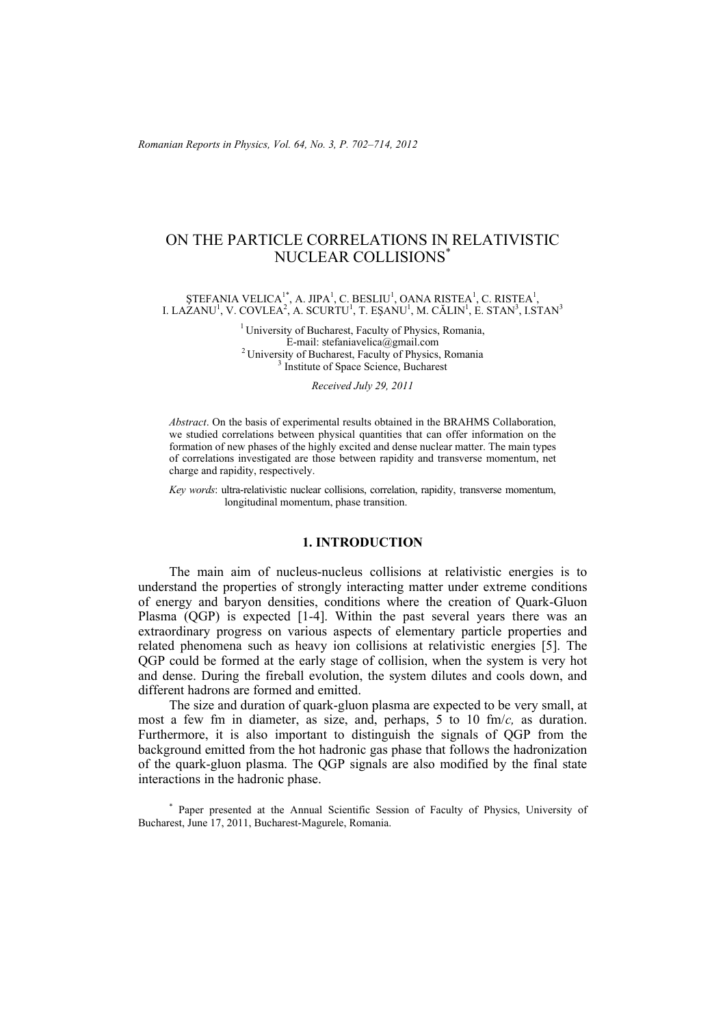# ON THE PARTICLE CORRELATIONS IN RELATIVISTIC NUCLEAR COLLISIONS\*

ŞTEFANIA VELICA $^{1*}$ , A. JIPA<sup>1</sup>, C. BESLIU<sup>1</sup>, OANA RISTEA<sup>1</sup>, C. RISTEA<sup>1</sup>, I. LAZANU<sup>1</sup>, V. COVLEA<sup>2</sup>, A. SCURTU<sup>1</sup>, T. EŞANU<sup>1</sup>, M. CĂLIN<sup>1</sup>, E. STAN<sup>3</sup>, I.STAN<sup>3</sup>

> <sup>1</sup> University of Bucharest, Faculty of Physics, Romania,<br>E-mail: stefaniavelica@gmail.com <sup>2</sup> University of Bucharest, Faculty of Physics, Romania <sup>3</sup> Institute of Space Science, Bucharest

> > *Received July 29, 2011*

*Abstract*. On the basis of experimental results obtained in the BRAHMS Collaboration, we studied correlations between physical quantities that can offer information on the formation of new phases of the highly excited and dense nuclear matter. The main types of correlations investigated are those between rapidity and transverse momentum, net charge and rapidity, respectively.

*Key words*: ultra-relativistic nuclear collisions, correlation, rapidity, transverse momentum, longitudinal momentum, phase transition.

# **1. INTRODUCTION**

The main aim of nucleus-nucleus collisions at relativistic energies is to understand the properties of strongly interacting matter under extreme conditions of energy and baryon densities, conditions where the creation of Quark-Gluon Plasma (QGP) is expected [1-4]. Within the past several years there was an extraordinary progress on various aspects of elementary particle properties and related phenomena such as heavy ion collisions at relativistic energies [5]. The QGP could be formed at the early stage of collision, when the system is very hot and dense. During the fireball evolution, the system dilutes and cools down, and different hadrons are formed and emitted.

The size and duration of quark-gluon plasma are expected to be very small, at most a few fm in diameter, as size, and, perhaps, 5 to 10 fm/*c,* as duration. Furthermore, it is also important to distinguish the signals of QGP from the background emitted from the hot hadronic gas phase that follows the hadronization of the quark-gluon plasma. The QGP signals are also modified by the final state interactions in the hadronic phase.

\* Paper presented at the Annual Scientific Session of Faculty of Physics, University of Bucharest, June 17, 2011, Bucharest-Magurele, Romania.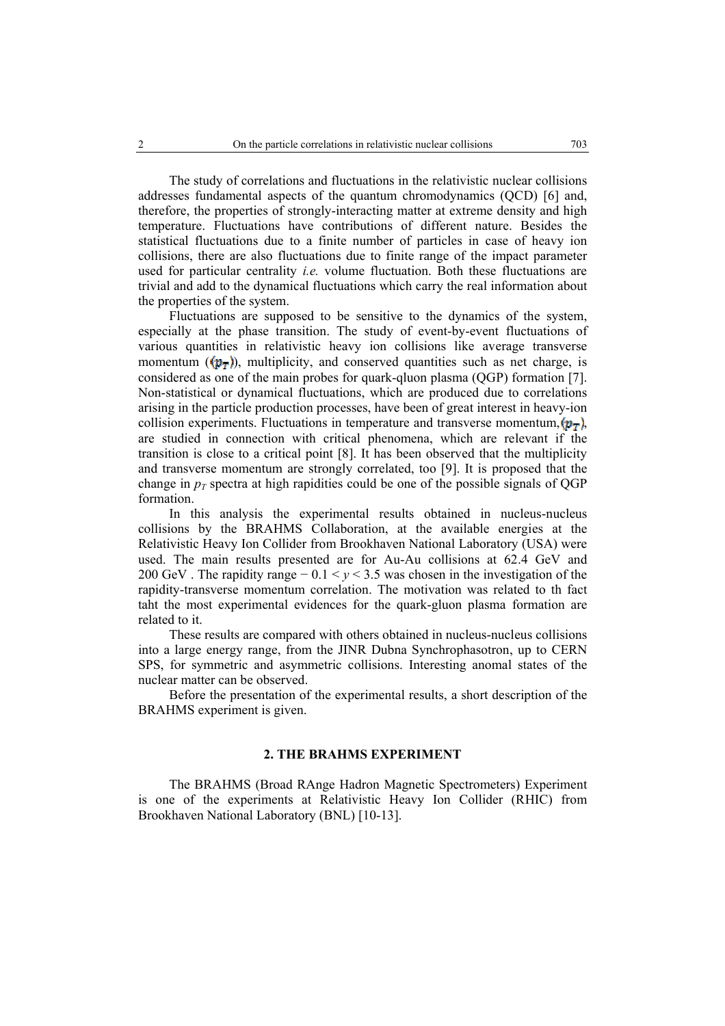The study of correlations and fluctuations in the relativistic nuclear collisions addresses fundamental aspects of the quantum chromodynamics (QCD) [6] and, therefore, the properties of strongly-interacting matter at extreme density and high temperature. Fluctuations have contributions of different nature. Besides the statistical fluctuations due to a finite number of particles in case of heavy ion collisions, there are also fluctuations due to finite range of the impact parameter used for particular centrality *i.e.* volume fluctuation. Both these fluctuations are trivial and add to the dynamical fluctuations which carry the real information about the properties of the system.

Fluctuations are supposed to be sensitive to the dynamics of the system, especially at the phase transition. The study of event-by-event fluctuations of various quantities in relativistic heavy ion collisions like average transverse momentum  $(\langle p_{\overline{r}} \rangle)$ , multiplicity, and conserved quantities such as net charge, is considered as one of the main probes for quark-qluon plasma (QGP) formation [7]. Non-statistical or dynamical fluctuations, which are produced due to correlations arising in the particle production processes, have been of great interest in heavy-ion collision experiments. Fluctuations in temperature and transverse momentum,  $(p_T)$ , are studied in connection with critical phenomena, which are relevant if the transition is close to a critical point [8]. It has been observed that the multiplicity and transverse momentum are strongly correlated, too [9]. It is proposed that the change in  $p_T$  spectra at high rapidities could be one of the possible signals of QGP formation.

In this analysis the experimental results obtained in nucleus-nucleus collisions by the BRAHMS Collaboration, at the available energies at the Relativistic Heavy Ion Collider from Brookhaven National Laboratory (USA) were used. The main results presented are for Au-Au collisions at 62.4 GeV and 200 GeV . The rapidity range − 0.1 < *y* < 3.5 was chosen in the investigation of the rapidity-transverse momentum correlation. The motivation was related to th fact taht the most experimental evidences for the quark-gluon plasma formation are related to it.

These results are compared with others obtained in nucleus-nucleus collisions into a large energy range, from the JINR Dubna Synchrophasotron, up to CERN SPS, for symmetric and asymmetric collisions. Interesting anomal states of the nuclear matter can be observed.

Before the presentation of the experimental results, a short description of the BRAHMS experiment is given.

# **2. THE BRAHMS EXPERIMENT**

The BRAHMS (Broad RAnge Hadron Magnetic Spectrometers) Experiment is one of the experiments at Relativistic Heavy Ion Collider (RHIC) from Brookhaven National Laboratory (BNL) [10-13].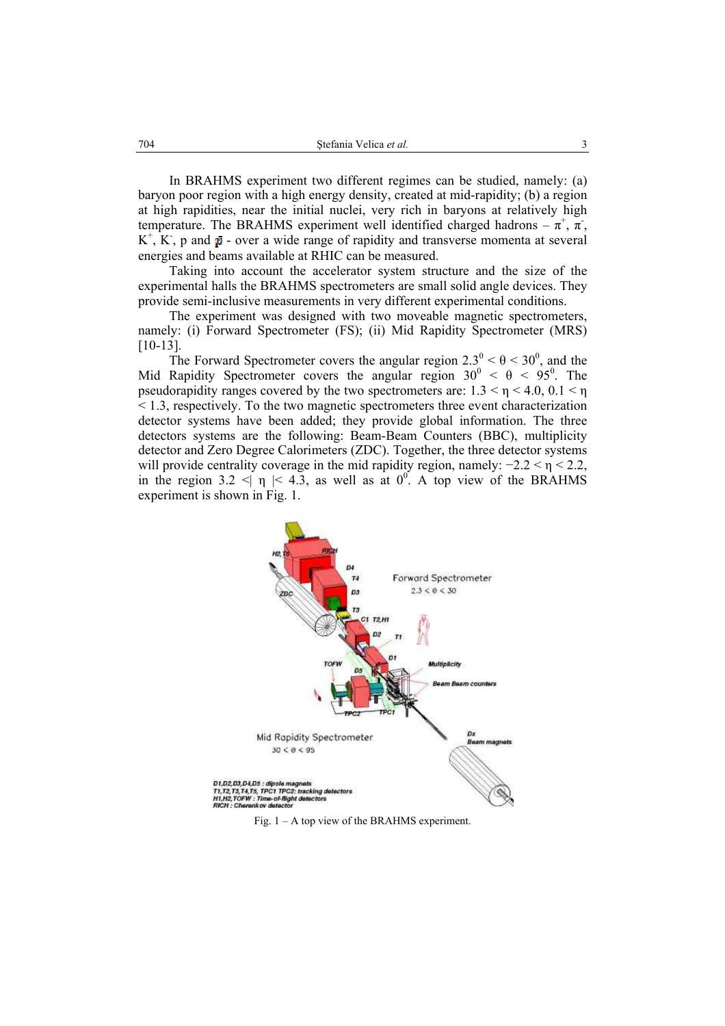In BRAHMS experiment two different regimes can be studied, namely: (a) baryon poor region with a high energy density, created at mid-rapidity; (b) a region at high rapidities, near the initial nuclei, very rich in baryons at relatively high temperature. The BRAHMS experiment well identified charged hadrons  $-\pi^+$ ,  $\pi^-$ ,  $K^+$ ,  $K^-$ , p and  $\bar{p}$  - over a wide range of rapidity and transverse momenta at several energies and beams available at RHIC can be measured.

Taking into account the accelerator system structure and the size of the experimental halls the BRAHMS spectrometers are small solid angle devices. They provide semi-inclusive measurements in very different experimental conditions.

The experiment was designed with two moveable magnetic spectrometers, namely: (i) Forward Spectrometer (FS); (ii) Mid Rapidity Spectrometer (MRS) [10-13].

The Forward Spectrometer covers the angular region  $2.3^{\circ} < \theta < 30^{\circ}$ , and the Mid Rapidity Spectrometer covers the angular region  $30^{\circ} < \theta < 95^{\circ}$ . The pseudorapidity ranges covered by the two spectrometers are:  $1.3 < \eta < 4.0, 0.1 < \eta$ < 1.3, respectively. To the two magnetic spectrometers three event characterization detector systems have been added; they provide global information. The three detectors systems are the following: Beam-Beam Counters (BBC), multiplicity detector and Zero Degree Calorimeters (ZDC). Together, the three detector systems will provide centrality coverage in the mid rapidity region, namely:  $-2.2 < \eta < 2.2$ , in the region 3.2  $\leq$   $\eta$  |  $\leq$  4.3, as well as at 0<sup>0</sup>. A top view of the BRAHMS experiment is shown in Fig. 1.



Fig. 1 – A top view of the BRAHMS experiment.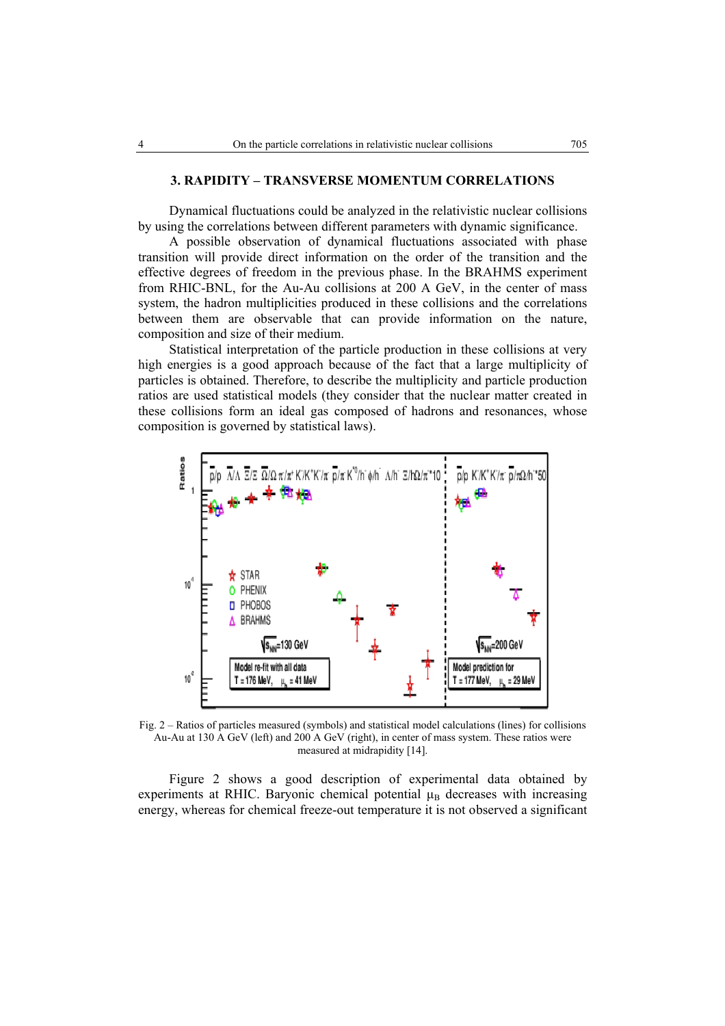### **3. RAPIDITY – TRANSVERSE MOMENTUM CORRELATIONS**

Dynamical fluctuations could be analyzed in the relativistic nuclear collisions by using the correlations between different parameters with dynamic significance.

A possible observation of dynamical fluctuations associated with phase transition will provide direct information on the order of the transition and the effective degrees of freedom in the previous phase. In the BRAHMS experiment from RHIC-BNL, for the Au-Au collisions at 200 A GeV, in the center of mass system, the hadron multiplicities produced in these collisions and the correlations between them are observable that can provide information on the nature, composition and size of their medium.

Statistical interpretation of the particle production in these collisions at very high energies is a good approach because of the fact that a large multiplicity of particles is obtained. Therefore, to describe the multiplicity and particle production ratios are used statistical models (they consider that the nuclear matter created in these collisions form an ideal gas composed of hadrons and resonances, whose composition is governed by statistical laws).



Fig. 2 – Ratios of particles measured (symbols) and statistical model calculations (lines) for collisions Au-Au at 130 A GeV (left) and 200 A GeV (right), in center of mass system. These ratios were measured at midrapidity [14].

Figure 2 shows a good description of experimental data obtained by experiments at RHIC. Baryonic chemical potential  $\mu_B$  decreases with increasing energy, whereas for chemical freeze-out temperature it is not observed a significant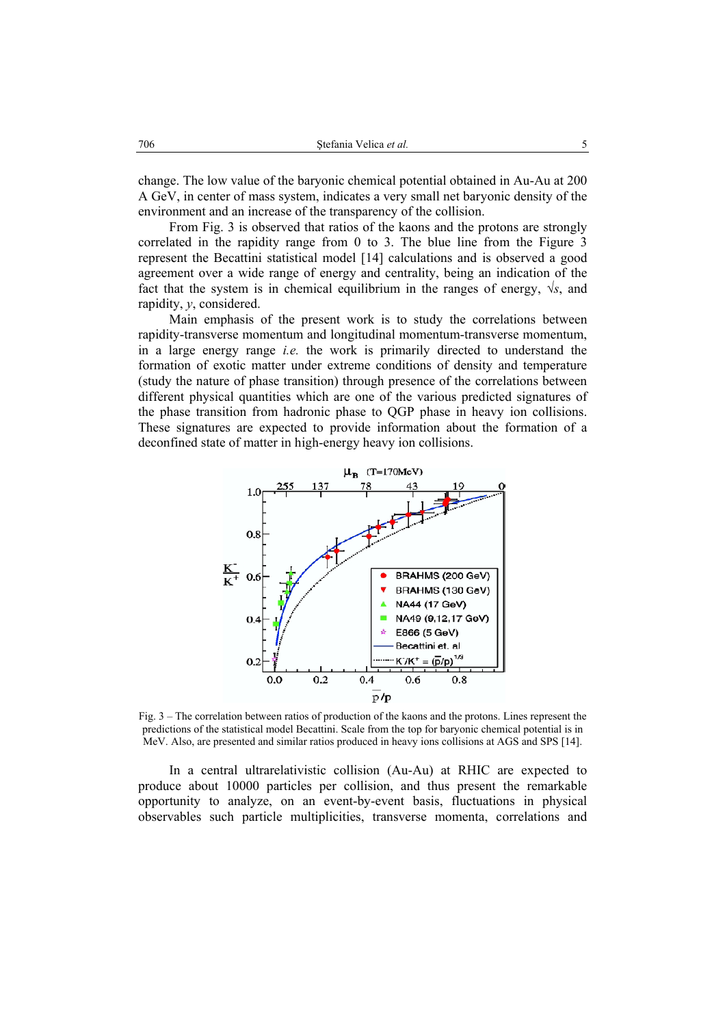change. The low value of the baryonic chemical potential obtained in Au-Au at 200 A GeV, in center of mass system, indicates a very small net baryonic density of the environment and an increase of the transparency of the collision.

From Fig. 3 is observed that ratios of the kaons and the protons are strongly correlated in the rapidity range from 0 to 3. The blue line from the Figure 3 represent the Becattini statistical model [14] calculations and is observed a good agreement over a wide range of energy and centrality, being an indication of the fact that the system is in chemical equilibrium in the ranges of energy,  $\sqrt{s}$ , and rapidity, *y*, considered.

Main emphasis of the present work is to study the correlations between rapidity-transverse momentum and longitudinal momentum-transverse momentum, in a large energy range *i.e.* the work is primarily directed to understand the formation of exotic matter under extreme conditions of density and temperature (study the nature of phase transition) through presence of the correlations between different physical quantities which are one of the various predicted signatures of the phase transition from hadronic phase to QGP phase in heavy ion collisions. These signatures are expected to provide information about the formation of a deconfined state of matter in high-energy heavy ion collisions.



Fig. 3 – The correlation between ratios of production of the kaons and the protons. Lines represent the predictions of the statistical model Becattini. Scale from the top for baryonic chemical potential is in MeV. Also, are presented and similar ratios produced in heavy ions collisions at AGS and SPS [14].

In a central ultrarelativistic collision (Au-Au) at RHIC are expected to produce about 10000 particles per collision, and thus present the remarkable opportunity to analyze, on an event-by-event basis, fluctuations in physical observables such particle multiplicities, transverse momenta, correlations and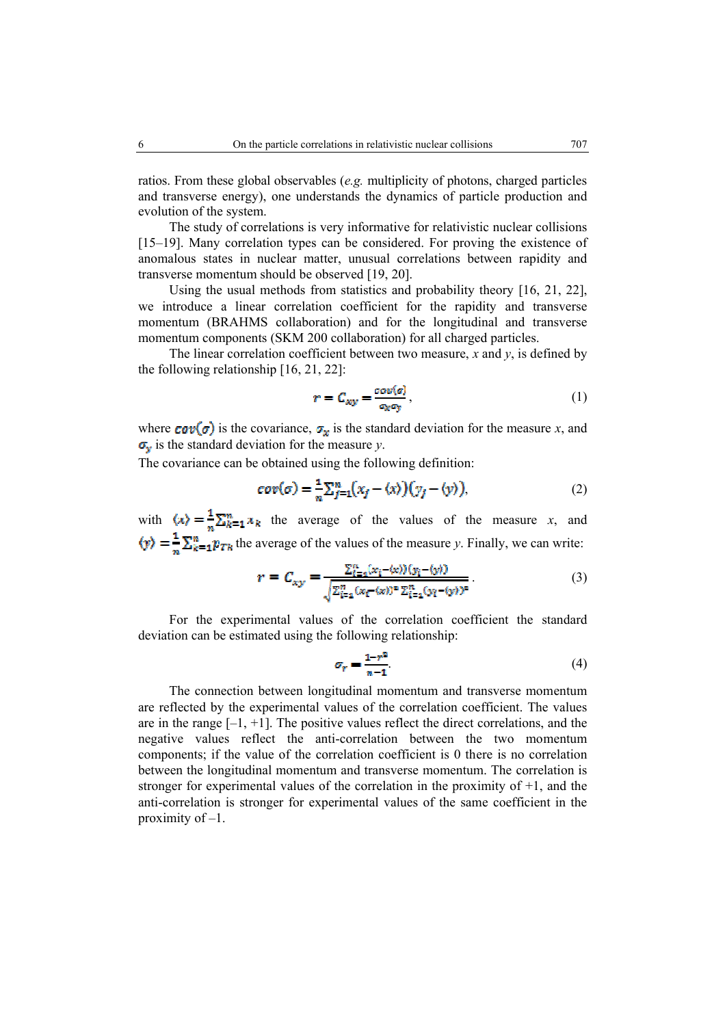ratios. From these global observables (*e.g.* multiplicity of photons, charged particles and transverse energy), one understands the dynamics of particle production and evolution of the system.

 The study of correlations is very informative for relativistic nuclear collisions [15–19]. Many correlation types can be considered. For proving the existence of anomalous states in nuclear matter, unusual correlations between rapidity and transverse momentum should be observed [19, 20].

 Using the usual methods from statistics and probability theory [16, 21, 22], we introduce a linear correlation coefficient for the rapidity and transverse momentum (BRAHMS collaboration) and for the longitudinal and transverse momentum components (SKM 200 collaboration) for all charged particles.

The linear correlation coefficient between two measure, *x* and *y*, is defined by the following relationship [16, 21, 22]:

$$
r = C_{xy} = \frac{\sigma \sigma v(\sigma)}{\sigma_{x}\sigma_{y}},\tag{1}
$$

where  $\text{cov}(\sigma)$  is the covariance,  $\sigma_x$  is the standard deviation for the measure *x*, and  $\sigma_y$  is the standard deviation for the measure *y*.

The covariance can be obtained using the following definition:

$$
cov(\sigma) = \frac{1}{n} \sum_{j=1}^{n} (x_j - \langle x \rangle) (y_j - \langle y \rangle), \tag{2}
$$

with  $\langle x \rangle = \frac{1}{n} \sum_{k=1}^m x_k$  the average of the values of the measure *x*, and  $\langle y \rangle = \frac{1}{n} \sum_{k=1}^{n} p_{Tk}$  the average of the values of the measure *y*. Finally, we can write:

$$
r = C_{xy} = \frac{\sum_{i=1}^{n} (x_i - \langle x \rangle)(y_i - \langle y \rangle)}{\sqrt{\sum_{i=1}^{n} (x_i - \langle x \rangle)^2 \sum_{i=1}^{n} (y_i - \langle y \rangle)^2}}.
$$
(3)

For the experimental values of the correlation coefficient the standard deviation can be estimated using the following relationship:

$$
\sigma_r = \frac{1 - r^2}{n - 1}.\tag{4}
$$

The connection between longitudinal momentum and transverse momentum are reflected by the experimental values of the correlation coefficient. The values are in the range  $[-1, +1]$ . The positive values reflect the direct correlations, and the negative values reflect the anti-correlation between the two momentum components; if the value of the correlation coefficient is 0 there is no correlation between the longitudinal momentum and transverse momentum. The correlation is stronger for experimental values of the correlation in the proximity of  $+1$ , and the anti-correlation is stronger for experimental values of the same coefficient in the proximity of –1.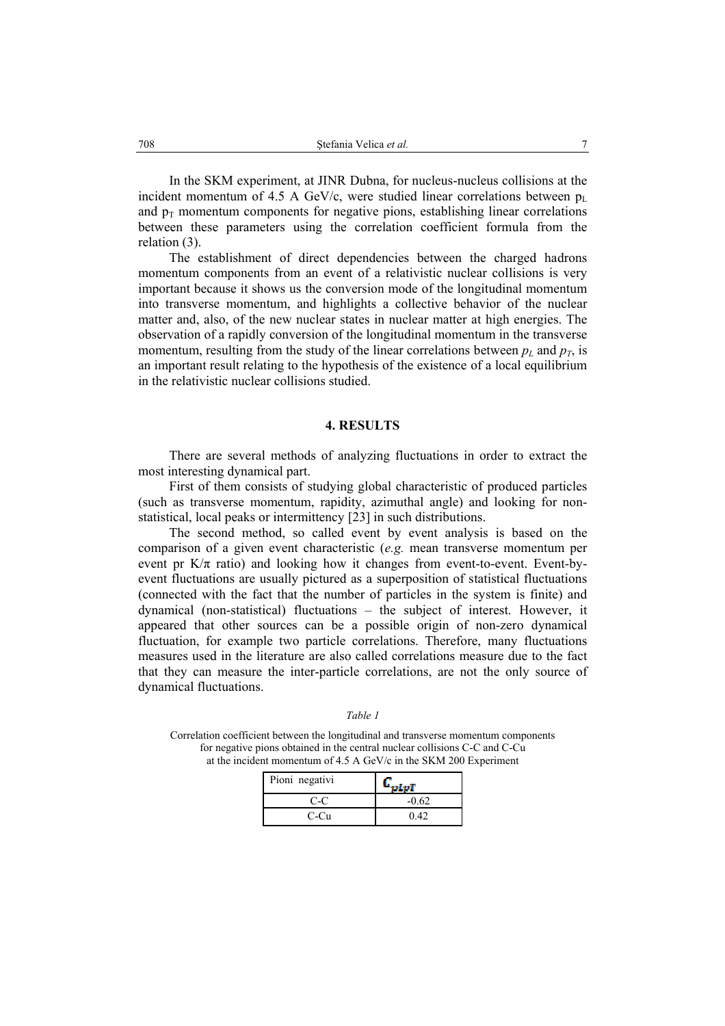In the SKM experiment, at JINR Dubna, for nucleus-nucleus collisions at the incident momentum of 4.5 A GeV/c, were studied linear correlations between  $p_L$ and  $p_T$  momentum components for negative pions, establishing linear correlations between these parameters using the correlation coefficient formula from the relation (3).

The establishment of direct dependencies between the charged hadrons momentum components from an event of a relativistic nuclear collisions is very important because it shows us the conversion mode of the longitudinal momentum into transverse momentum, and highlights a collective behavior of the nuclear matter and, also, of the new nuclear states in nuclear matter at high energies. The observation of a rapidly conversion of the longitudinal momentum in the transverse momentum, resulting from the study of the linear correlations between  $p<sub>L</sub>$  and  $p<sub>T</sub>$ , is an important result relating to the hypothesis of the existence of a local equilibrium in the relativistic nuclear collisions studied.

#### **4. RESULTS**

There are several methods of analyzing fluctuations in order to extract the most interesting dynamical part.

First of them consists of studying global characteristic of produced particles (such as transverse momentum, rapidity, azimuthal angle) and looking for nonstatistical, local peaks or intermittency [23] in such distributions.

The second method, so called event by event analysis is based on the comparison of a given event characteristic (*e.g.* mean transverse momentum per event pr  $K/\pi$  ratio) and looking how it changes from event-to-event. Event-byevent fluctuations are usually pictured as a superposition of statistical fluctuations (connected with the fact that the number of particles in the system is finite) and dynamical (non-statistical) fluctuations – the subject of interest. However, it appeared that other sources can be a possible origin of non-zero dynamical fluctuation, for example two particle correlations. Therefore, many fluctuations measures used in the literature are also called correlations measure due to the fact that they can measure the inter-particle correlations, are not the only source of dynamical fluctuations.

*Table 1*

Correlation coefficient between the longitudinal and transverse momentum components for negative pions obtained in the central nuclear collisions C-C and C-Cu at the incident momentum of 4.5 A GeV/c in the SKM 200 Experiment

| Pioni negativi |         |
|----------------|---------|
| C-C            | $-0.62$ |
| C-Cu           | 0.42    |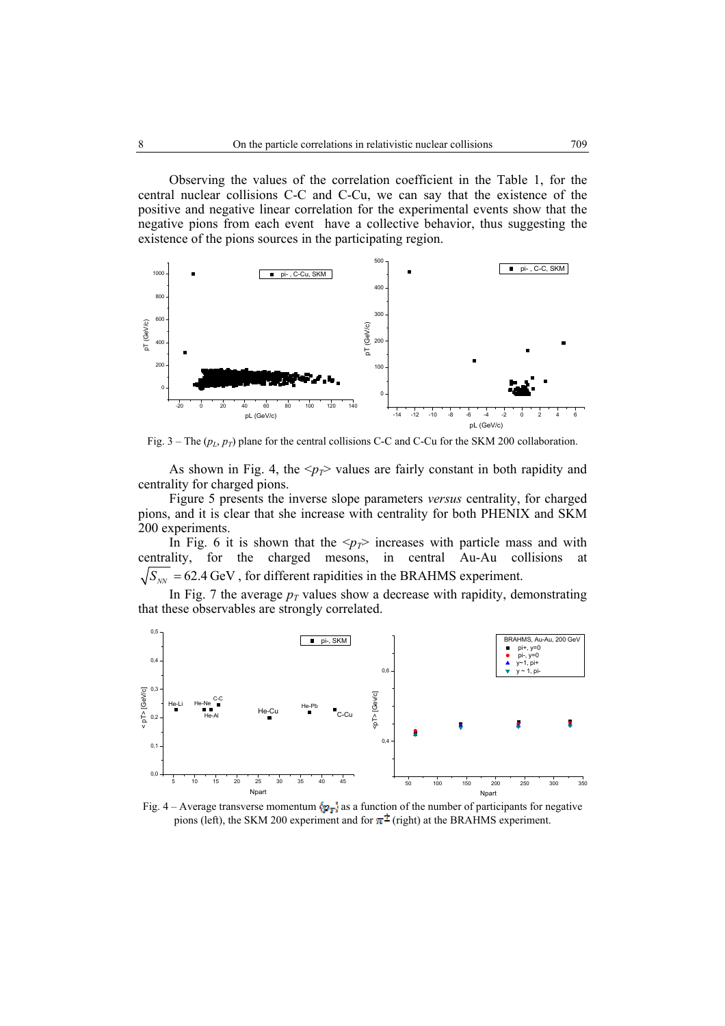Observing the values of the correlation coefficient in the Table 1, for the central nuclear collisions C-C and C-Cu, we can say that the existence of the positive and negative linear correlation for the experimental events show that the negative pions from each event have a collective behavior, thus suggesting the existence of the pions sources in the participating region.



Fig.  $3 -$  The ( $p_L$ ,  $p_T$ ) plane for the central collisions C-C and C-Cu for the SKM 200 collaboration.

As shown in Fig. 4, the  $\langle p_T \rangle$  values are fairly constant in both rapidity and centrality for charged pions.

Figure 5 presents the inverse slope parameters *versus* centrality, for charged pions, and it is clear that she increase with centrality for both PHENIX and SKM 200 experiments.

In Fig. 6 it is shown that the  $\langle p_T \rangle$  increases with particle mass and with centrality, for the charged mesons, in central Au-Au collisions at  $\sqrt{S_{_{NN}}}$  = 62.4 GeV, for different rapidities in the BRAHMS experiment.

In Fig. 7 the average  $p_T$  values show a decrease with rapidity, demonstrating that these observables are strongly correlated.



Fig. 4 – Average transverse momentum  $\langle p_T \rangle$  as a function of the number of participants for negative pions (left), the SKM 200 experiment and for  $\pi^{\pm}$  (right) at the BRAHMS experiment.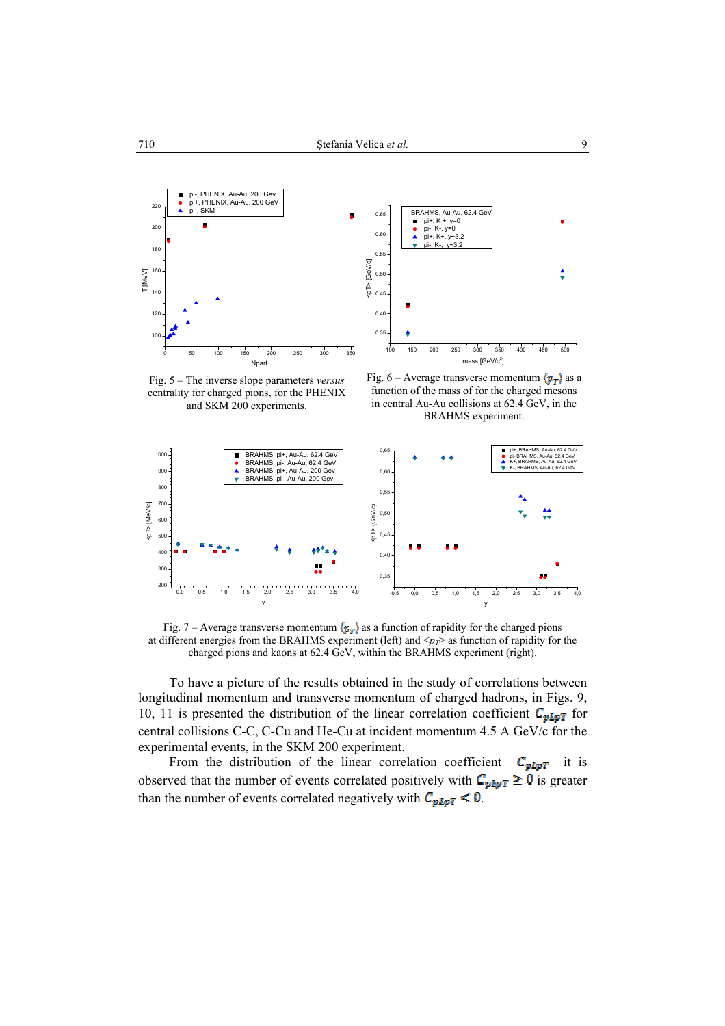



Fig. 5 – The inverse slope parameters *versus* centrality for charged pions, for the PHENIX and SKM 200 experiments.

Fig. 6 – Average transverse momentum  $\langle p_T \rangle$  as a function of the mass of for the charged mesons in central Au-Au collisions at 62.4 GeV, in the BRAHMS experiment.



Fig. 7 – Average transverse momentum  $\langle \mathbf{r}_T \rangle$  as a function of rapidity for the charged pions at different energies from the BRAHMS experiment (left) and  $\langle p_T \rangle$  as function of rapidity for the charged pions and kaons at 62.4 GeV, within the BRAHMS experiment (right).

To have a picture of the results obtained in the study of correlations between longitudinal momentum and transverse momentum of charged hadrons, in Figs. 9, 10, 11 is presented the distribution of the linear correlation coefficient  $C_{\text{plor}}$  for central collisions C-C, C-Cu and He-Cu at incident momentum 4.5 A GeV/c for the experimental events, in the SKM 200 experiment.

From the distribution of the linear correlation coefficient  $C_{pLpT}$  it is observed that the number of events correlated positively with  $C_{pIpT} \ge 0$  is greater than the number of events correlated negatively with  $C_{pLpT} < 0$ .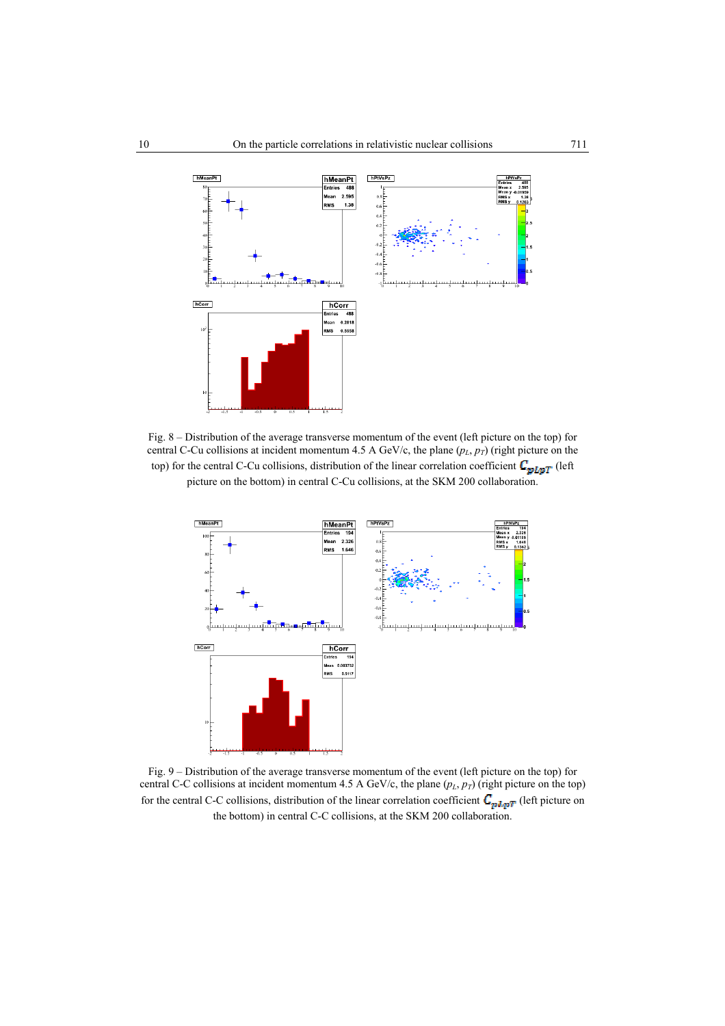

Fig. 8 – Distribution of the average transverse momentum of the event (left picture on the top) for central C-Cu collisions at incident momentum 4.5 A GeV/c, the plane  $(p_L, p_T)$  (right picture on the top) for the central C-Cu collisions, distribution of the linear correlation coefficient  $C_{\mathbf{pLpT}}$  (left picture on the bottom) in central C-Cu collisions, at the SKM 200 collaboration.



Fig. 9 – Distribution of the average transverse momentum of the event (left picture on the top) for central C-C collisions at incident momentum 4.5 A GeV/c, the plane  $(p_L, p_T)$  (right picture on the top) for the central C-C collisions, distribution of the linear correlation coefficient  $\mathcal{C}_{p, l, p, T}$  (left picture on the bottom) in central C-C collisions, at the SKM 200 collaboration.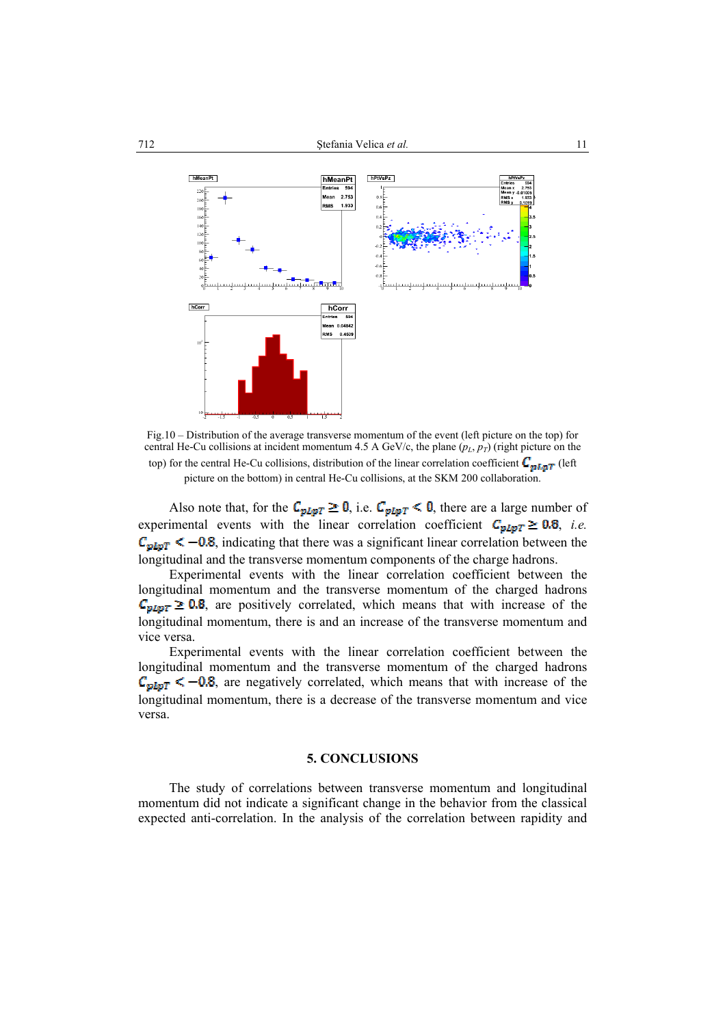

Fig.10 – Distribution of the average transverse momentum of the event (left picture on the top) for central He-Cu collisions at incident momentum 4.5 A GeV/c, the plane  $(p_L, p_T)$  (right picture on the top) for the central He-Cu collisions, distribution of the linear correlation coefficient  $C_{\mathbf{pI},\mathbf{pT}}$  (left picture on the bottom) in central He-Cu collisions, at the SKM 200 collaboration.

Also note that, for the  $C_{pLpT} \ge 0$ , i.e.  $C_{pLpT} < 0$ , there are a large number of experimental events with the linear correlation coefficient  $C_{pLpT} \ge 0.8$ , *i.e.*  $C_{pLpT} < -0.8$ , indicating that there was a significant linear correlation between the longitudinal and the transverse momentum components of the charge hadrons.

Experimental events with the linear correlation coefficient between the longitudinal momentum and the transverse momentum of the charged hadrons  $C_{\text{pLpT}} \geq 0.8$ , are positively correlated, which means that with increase of the longitudinal momentum, there is and an increase of the transverse momentum and vice versa.

Experimental events with the linear correlation coefficient between the longitudinal momentum and the transverse momentum of the charged hadrons  $C_{pIpT}$  < -0.8, are negatively correlated, which means that with increase of the longitudinal momentum, there is a decrease of the transverse momentum and vice versa.

#### **5. CONCLUSIONS**

The study of correlations between transverse momentum and longitudinal momentum did not indicate a significant change in the behavior from the classical expected anti-correlation. In the analysis of the correlation between rapidity and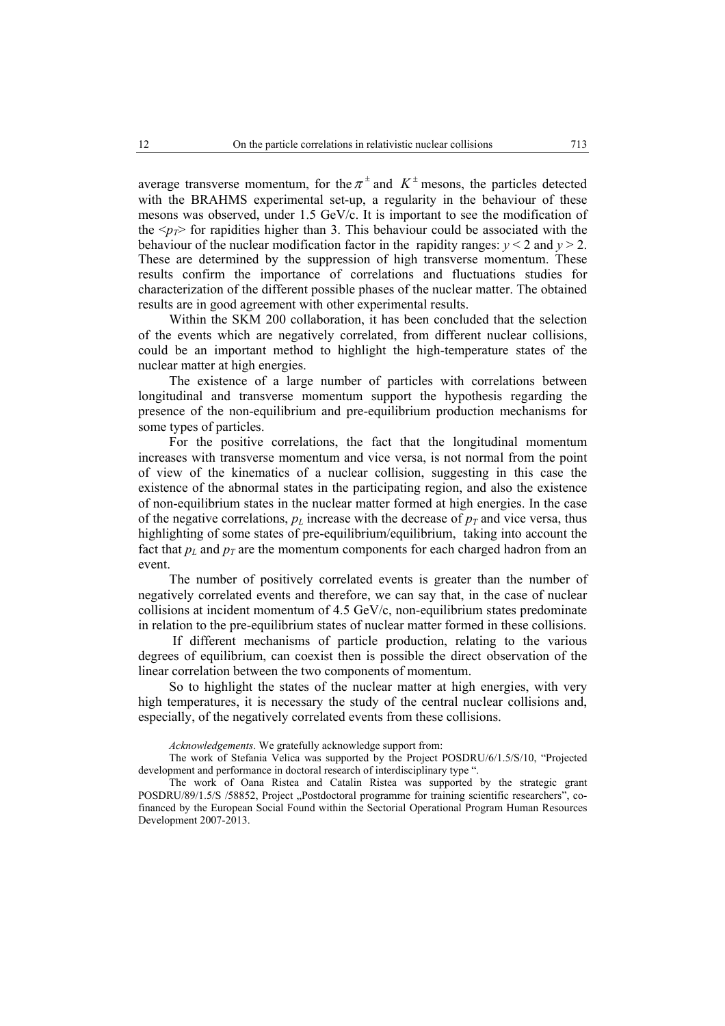average transverse momentum, for the  $\pi^{\pm}$  and  $K^{\pm}$  mesons, the particles detected with the BRAHMS experimental set-up, a regularity in the behaviour of these mesons was observed, under 1.5 GeV/c. It is important to see the modification of the  $\langle p_T \rangle$  for rapidities higher than 3. This behaviour could be associated with the behaviour of the nuclear modification factor in the rapidity ranges:  $y < 2$  and  $y > 2$ . These are determined by the suppression of high transverse momentum. These results confirm the importance of correlations and fluctuations studies for characterization of the different possible phases of the nuclear matter. The obtained results are in good agreement with other experimental results.

Within the SKM 200 collaboration, it has been concluded that the selection of the events which are negatively correlated, from different nuclear collisions, could be an important method to highlight the high-temperature states of the nuclear matter at high energies.

The existence of a large number of particles with correlations between longitudinal and transverse momentum support the hypothesis regarding the presence of the non-equilibrium and pre-equilibrium production mechanisms for some types of particles.

For the positive correlations, the fact that the longitudinal momentum increases with transverse momentum and vice versa, is not normal from the point of view of the kinematics of a nuclear collision, suggesting in this case the existence of the abnormal states in the participating region, and also the existence of non-equilibrium states in the nuclear matter formed at high energies. In the case of the negative correlations,  $p_L$  increase with the decrease of  $p_T$  and vice versa, thus highlighting of some states of pre-equilibrium/equilibrium, taking into account the fact that  $p_L$  and  $p_T$  are the momentum components for each charged hadron from an event.

The number of positively correlated events is greater than the number of negatively correlated events and therefore, we can say that, in the case of nuclear collisions at incident momentum of 4.5 GeV/c, non-equilibrium states predominate in relation to the pre-equilibrium states of nuclear matter formed in these collisions.

 If different mechanisms of particle production, relating to the various degrees of equilibrium, can coexist then is possible the direct observation of the linear correlation between the two components of momentum.

So to highlight the states of the nuclear matter at high energies, with very high temperatures, it is necessary the study of the central nuclear collisions and, especially, of the negatively correlated events from these collisions.

*Acknowledgements*. We gratefully acknowledge support from:

The work of Stefania Velica was supported by the Project POSDRU/6/1.5/S/10, "Projected development and performance in doctoral research of interdisciplinary type ".

The work of Oana Ristea and Catalin Ristea was supported by the strategic grant POSDRU/89/1.5/S /58852, Project "Postdoctoral programme for training scientific researchers", cofinanced by the European Social Found within the Sectorial Operational Program Human Resources Development 2007-2013.